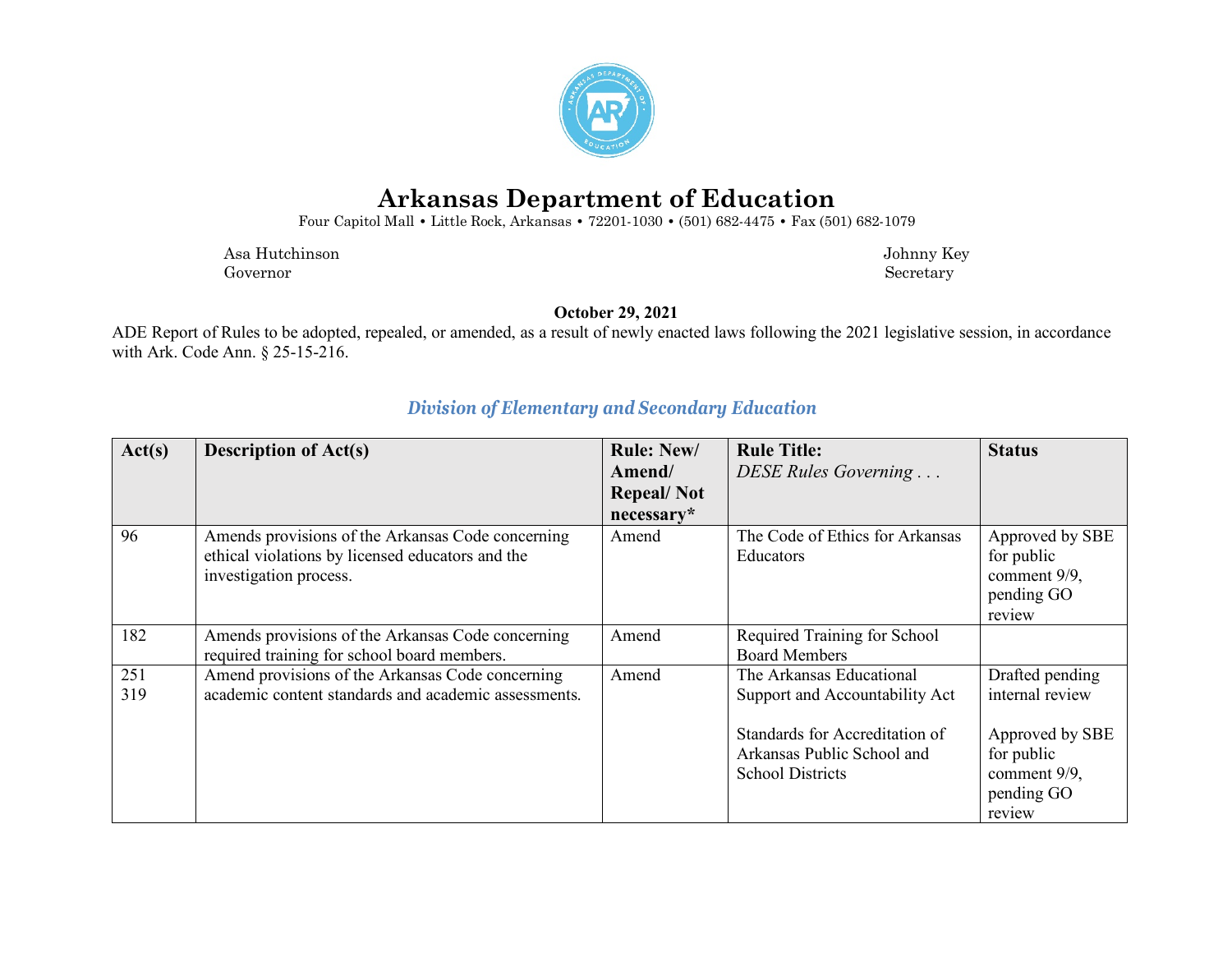

# **Arkansas Department of Education**

Four Capitol Mall **•** Little Rock, Arkansas **•** 72201-1030 **•** (501) 682-4475 **•** Fax (501) 682-1079

 Asa Hutchinson Johnny Key Governor Secretary Secretary Secretary Secretary Secretary Secretary Secretary Secretary Secretary Secretary Secretary Secretary Secretary Secretary Secretary Secretary Secretary Secretary Secretary Secretary Secretary Sec

**October 29, 2021**

ADE Report of Rules to be adopted, repealed, or amended, as a result of newly enacted laws following the 2021 legislative session, in accordance with Ark. Code Ann. § 25-15-216.

| Act(s)     | <b>Description of Act(s)</b>                                                                                                    | <b>Rule: New/</b><br>Amend/     | <b>Rule Title:</b><br>DESE Rules Governing                                              | <b>Status</b>                                                         |
|------------|---------------------------------------------------------------------------------------------------------------------------------|---------------------------------|-----------------------------------------------------------------------------------------|-----------------------------------------------------------------------|
|            |                                                                                                                                 | <b>Repeal/Not</b><br>necessary* |                                                                                         |                                                                       |
| 96         | Amends provisions of the Arkansas Code concerning<br>ethical violations by licensed educators and the<br>investigation process. | Amend                           | The Code of Ethics for Arkansas<br>Educators                                            | Approved by SBE<br>for public<br>comment 9/9,<br>pending GO<br>review |
| 182        | Amends provisions of the Arkansas Code concerning<br>required training for school board members.                                | Amend                           | Required Training for School<br><b>Board Members</b>                                    |                                                                       |
| 251<br>319 | Amend provisions of the Arkansas Code concerning<br>academic content standards and academic assessments.                        | Amend                           | The Arkansas Educational<br>Support and Accountability Act                              | Drafted pending<br>internal review                                    |
|            |                                                                                                                                 |                                 | Standards for Accreditation of<br>Arkansas Public School and<br><b>School Districts</b> | Approved by SBE<br>for public<br>comment 9/9,<br>pending GO<br>review |

### *Division of Elementary and Secondary Education*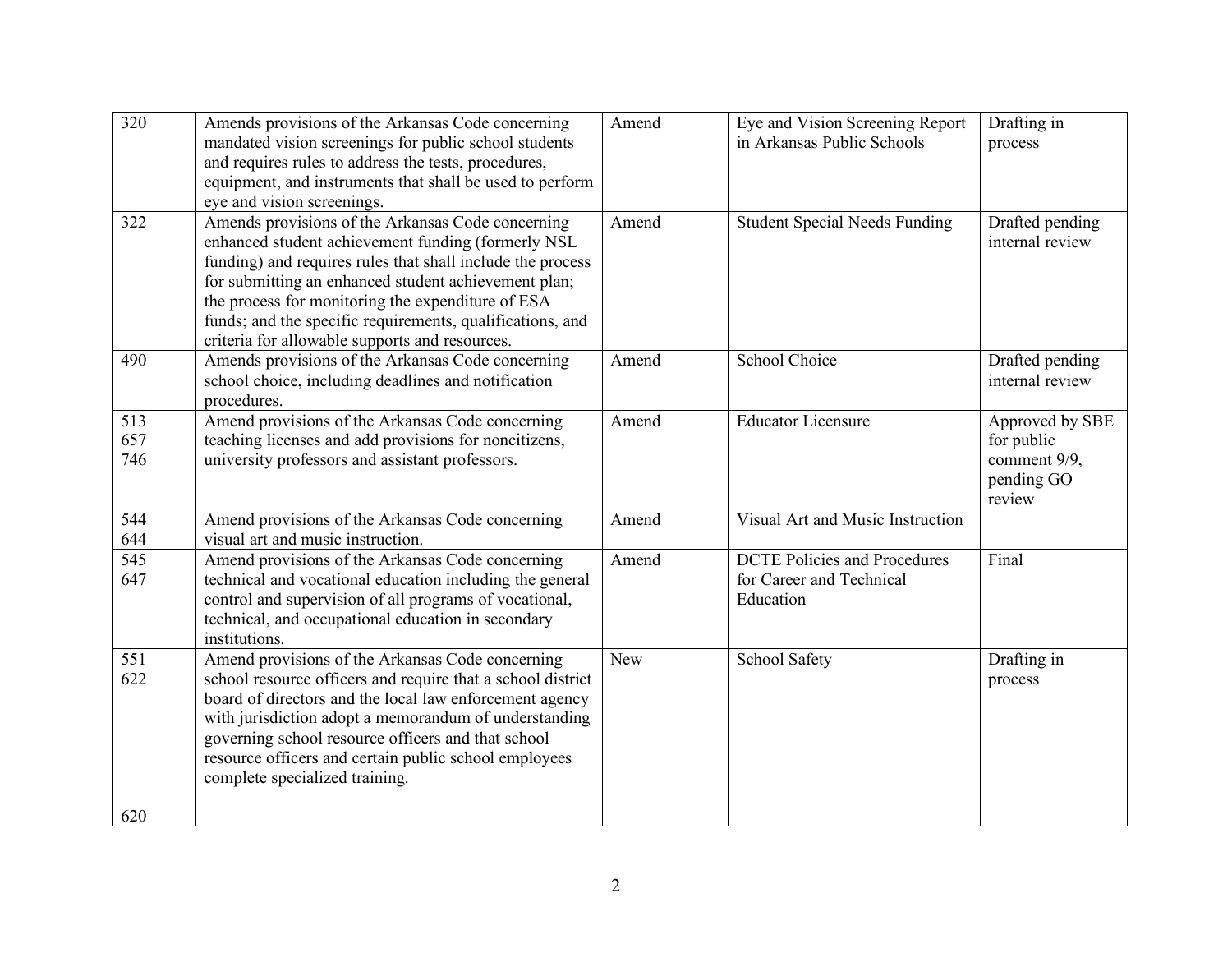| 320               | Amends provisions of the Arkansas Code concerning<br>mandated vision screenings for public school students<br>and requires rules to address the tests, procedures,<br>equipment, and instruments that shall be used to perform<br>eye and vision screenings.                                                                                                                                      | Amend      | Eye and Vision Screening Report<br>in Arkansas Public Schools                | Drafting in<br>process                                                |
|-------------------|---------------------------------------------------------------------------------------------------------------------------------------------------------------------------------------------------------------------------------------------------------------------------------------------------------------------------------------------------------------------------------------------------|------------|------------------------------------------------------------------------------|-----------------------------------------------------------------------|
| 322               | Amends provisions of the Arkansas Code concerning<br>enhanced student achievement funding (formerly NSL<br>funding) and requires rules that shall include the process<br>for submitting an enhanced student achievement plan;<br>the process for monitoring the expenditure of ESA<br>funds; and the specific requirements, qualifications, and<br>criteria for allowable supports and resources. | Amend      | <b>Student Special Needs Funding</b>                                         | Drafted pending<br>internal review                                    |
| 490               | Amends provisions of the Arkansas Code concerning<br>school choice, including deadlines and notification<br>procedures.                                                                                                                                                                                                                                                                           | Amend      | School Choice                                                                | Drafted pending<br>internal review                                    |
| 513<br>657<br>746 | Amend provisions of the Arkansas Code concerning<br>teaching licenses and add provisions for noncitizens,<br>university professors and assistant professors.                                                                                                                                                                                                                                      | Amend      | <b>Educator Licensure</b>                                                    | Approved by SBE<br>for public<br>comment 9/9,<br>pending GO<br>review |
| 544<br>644        | Amend provisions of the Arkansas Code concerning<br>visual art and music instruction.                                                                                                                                                                                                                                                                                                             | Amend      | Visual Art and Music Instruction                                             |                                                                       |
| 545<br>647        | Amend provisions of the Arkansas Code concerning<br>technical and vocational education including the general<br>control and supervision of all programs of vocational,<br>technical, and occupational education in secondary<br>institutions.                                                                                                                                                     | Amend      | <b>DCTE Policies and Procedures</b><br>for Career and Technical<br>Education | Final                                                                 |
| 551<br>622<br>620 | Amend provisions of the Arkansas Code concerning<br>school resource officers and require that a school district<br>board of directors and the local law enforcement agency<br>with jurisdiction adopt a memorandum of understanding<br>governing school resource officers and that school<br>resource officers and certain public school employees<br>complete specialized training.              | <b>New</b> | School Safety                                                                | Drafting in<br>process                                                |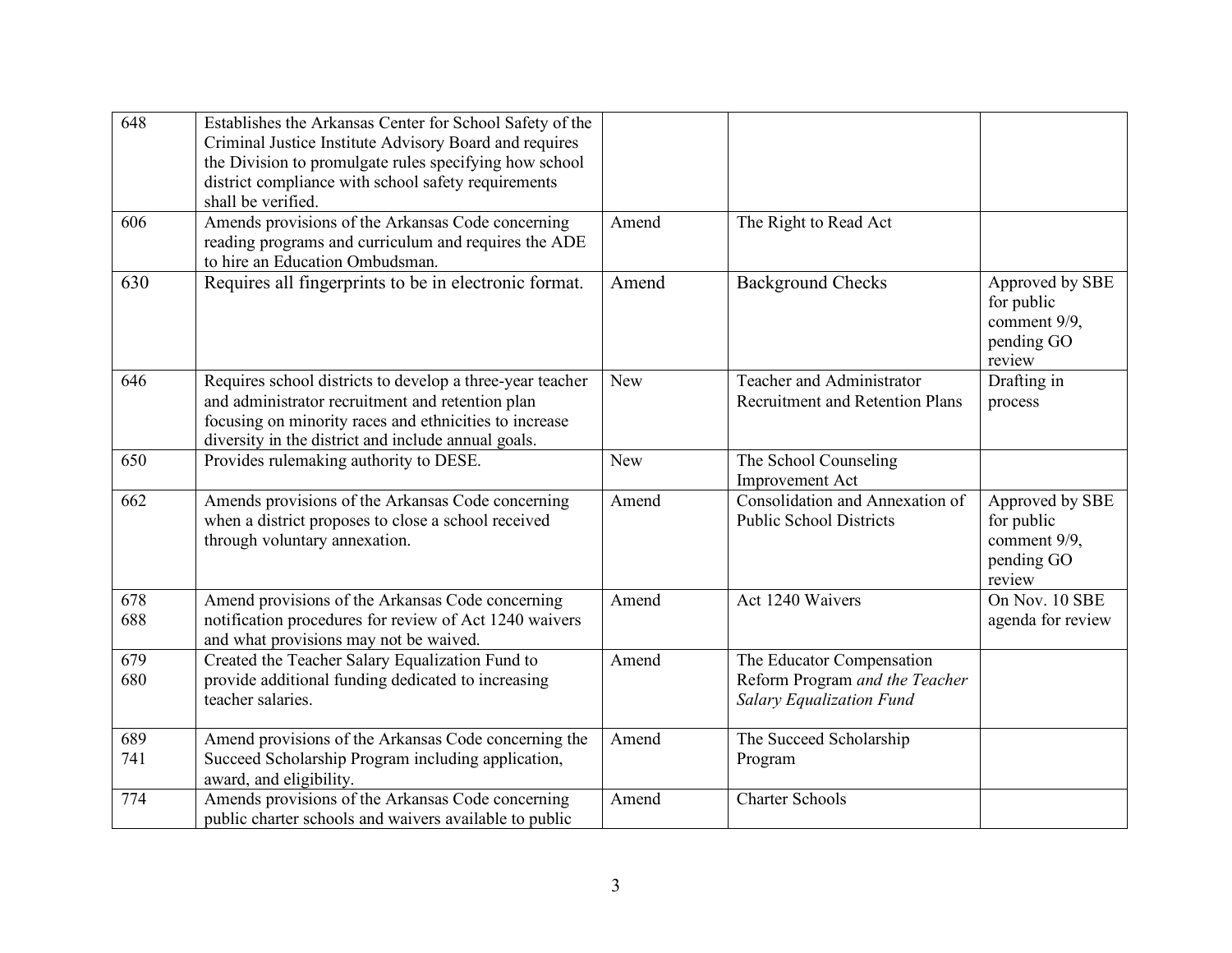| 648        | Establishes the Arkansas Center for School Safety of the<br>Criminal Justice Institute Advisory Board and requires<br>the Division to promulgate rules specifying how school<br>district compliance with school safety requirements<br>shall be verified. |            |                                                                                                |                                                                       |
|------------|-----------------------------------------------------------------------------------------------------------------------------------------------------------------------------------------------------------------------------------------------------------|------------|------------------------------------------------------------------------------------------------|-----------------------------------------------------------------------|
| 606        | Amends provisions of the Arkansas Code concerning<br>reading programs and curriculum and requires the ADE<br>to hire an Education Ombudsman.                                                                                                              | Amend      | The Right to Read Act                                                                          |                                                                       |
| 630        | Requires all fingerprints to be in electronic format.                                                                                                                                                                                                     | Amend      | <b>Background Checks</b>                                                                       | Approved by SBE<br>for public<br>comment 9/9,<br>pending GO<br>review |
| 646        | Requires school districts to develop a three-year teacher<br>and administrator recruitment and retention plan<br>focusing on minority races and ethnicities to increase<br>diversity in the district and include annual goals.                            | <b>New</b> | Teacher and Administrator<br><b>Recruitment and Retention Plans</b>                            | Drafting in<br>process                                                |
| 650        | Provides rulemaking authority to DESE.                                                                                                                                                                                                                    | New        | The School Counseling<br>Improvement Act                                                       |                                                                       |
| 662        | Amends provisions of the Arkansas Code concerning<br>when a district proposes to close a school received<br>through voluntary annexation.                                                                                                                 | Amend      | Consolidation and Annexation of<br><b>Public School Districts</b>                              | Approved by SBE<br>for public<br>comment 9/9,<br>pending GO<br>review |
| 678<br>688 | Amend provisions of the Arkansas Code concerning<br>notification procedures for review of Act 1240 waivers<br>and what provisions may not be waived.                                                                                                      | Amend      | Act 1240 Waivers                                                                               | On Nov. 10 SBE<br>agenda for review                                   |
| 679<br>680 | Created the Teacher Salary Equalization Fund to<br>provide additional funding dedicated to increasing<br>teacher salaries.                                                                                                                                | Amend      | The Educator Compensation<br>Reform Program and the Teacher<br><b>Salary Equalization Fund</b> |                                                                       |
| 689<br>741 | Amend provisions of the Arkansas Code concerning the<br>Succeed Scholarship Program including application,<br>award, and eligibility.                                                                                                                     | Amend      | The Succeed Scholarship<br>Program                                                             |                                                                       |
| 774        | Amends provisions of the Arkansas Code concerning<br>public charter schools and waivers available to public                                                                                                                                               | Amend      | <b>Charter Schools</b>                                                                         |                                                                       |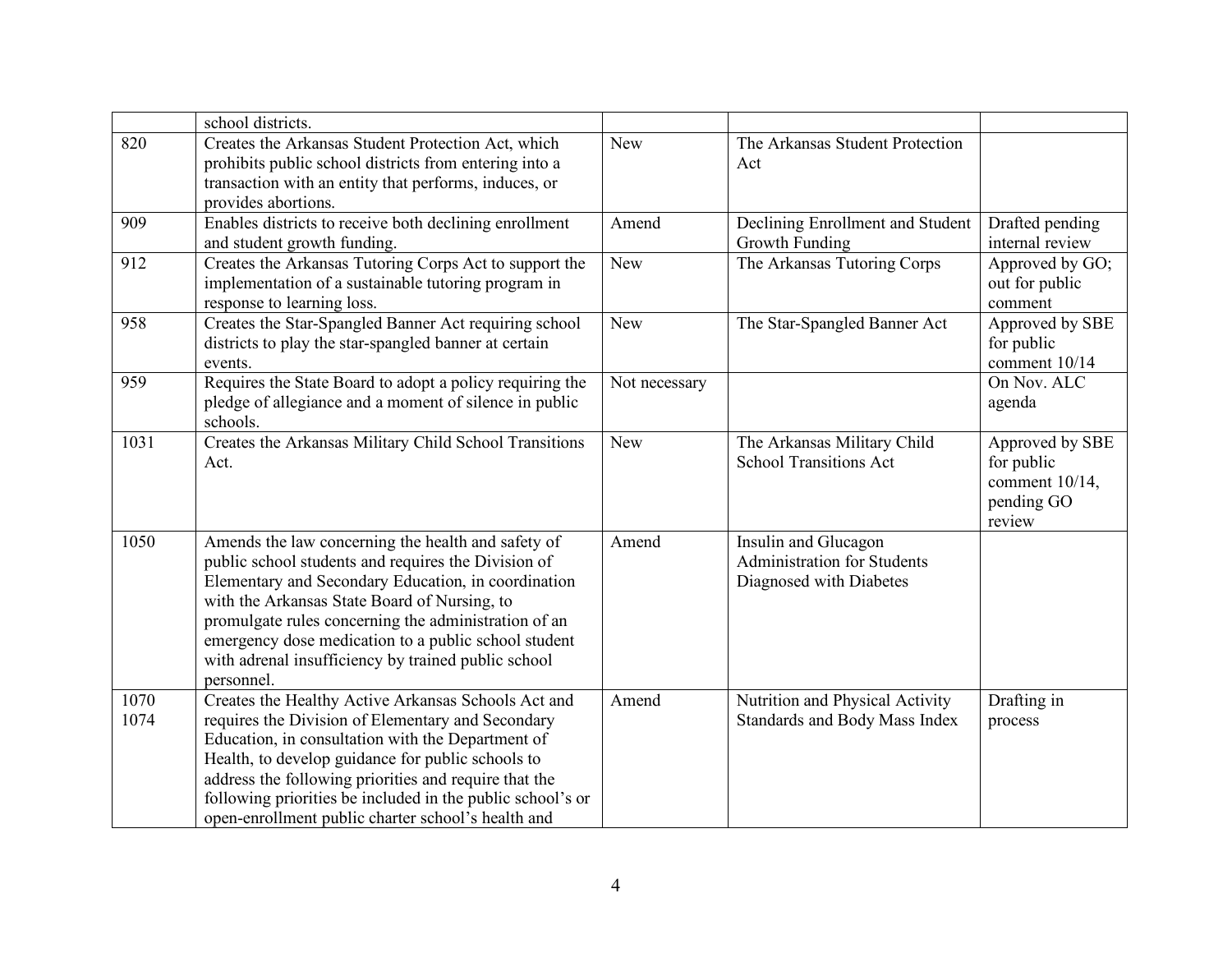|              | school districts.                                                                                                                                                                                                                                                                                                                                                                                     |               |                                                                                |                                                                         |
|--------------|-------------------------------------------------------------------------------------------------------------------------------------------------------------------------------------------------------------------------------------------------------------------------------------------------------------------------------------------------------------------------------------------------------|---------------|--------------------------------------------------------------------------------|-------------------------------------------------------------------------|
| 820          | Creates the Arkansas Student Protection Act, which<br>prohibits public school districts from entering into a<br>transaction with an entity that performs, induces, or<br>provides abortions.                                                                                                                                                                                                          | <b>New</b>    | The Arkansas Student Protection<br>Act                                         |                                                                         |
| 909          | Enables districts to receive both declining enrollment<br>and student growth funding.                                                                                                                                                                                                                                                                                                                 | Amend         | Declining Enrollment and Student<br>Growth Funding                             | Drafted pending<br>internal review                                      |
| 912          | Creates the Arkansas Tutoring Corps Act to support the<br>implementation of a sustainable tutoring program in<br>response to learning loss.                                                                                                                                                                                                                                                           | <b>New</b>    | The Arkansas Tutoring Corps                                                    | Approved by GO;<br>out for public<br>comment                            |
| 958          | Creates the Star-Spangled Banner Act requiring school<br>districts to play the star-spangled banner at certain<br>events.                                                                                                                                                                                                                                                                             | <b>New</b>    | The Star-Spangled Banner Act                                                   | Approved by SBE<br>for public<br>comment 10/14                          |
| 959          | Requires the State Board to adopt a policy requiring the<br>pledge of allegiance and a moment of silence in public<br>schools.                                                                                                                                                                                                                                                                        | Not necessary |                                                                                | On Nov. ALC<br>agenda                                                   |
| 1031         | Creates the Arkansas Military Child School Transitions<br>Act.                                                                                                                                                                                                                                                                                                                                        | <b>New</b>    | The Arkansas Military Child<br><b>School Transitions Act</b>                   | Approved by SBE<br>for public<br>comment 10/14,<br>pending GO<br>review |
| 1050         | Amends the law concerning the health and safety of<br>public school students and requires the Division of<br>Elementary and Secondary Education, in coordination<br>with the Arkansas State Board of Nursing, to<br>promulgate rules concerning the administration of an<br>emergency dose medication to a public school student<br>with adrenal insufficiency by trained public school<br>personnel. | Amend         | Insulin and Glucagon<br>Administration for Students<br>Diagnosed with Diabetes |                                                                         |
| 1070<br>1074 | Creates the Healthy Active Arkansas Schools Act and<br>requires the Division of Elementary and Secondary<br>Education, in consultation with the Department of<br>Health, to develop guidance for public schools to<br>address the following priorities and require that the<br>following priorities be included in the public school's or<br>open-enrollment public charter school's health and       | Amend         | Nutrition and Physical Activity<br>Standards and Body Mass Index               | Drafting in<br>process                                                  |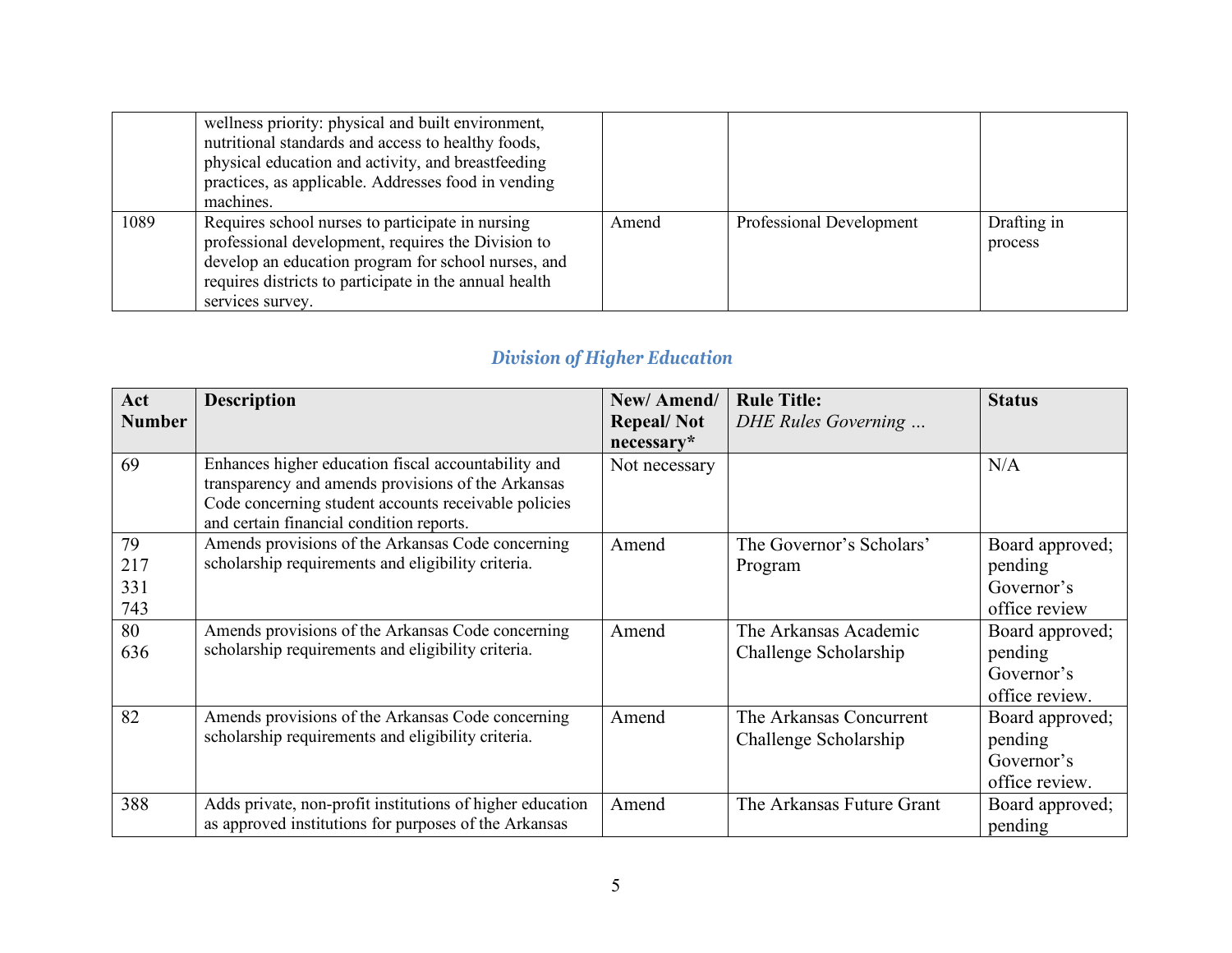|      | wellness priority: physical and built environment,<br>nutritional standards and access to healthy foods,<br>physical education and activity, and breastfeeding<br>practices, as applicable. Addresses food in vending<br>machines.          |       |                          |                        |
|------|---------------------------------------------------------------------------------------------------------------------------------------------------------------------------------------------------------------------------------------------|-------|--------------------------|------------------------|
| 1089 | Requires school nurses to participate in nursing<br>professional development, requires the Division to<br>develop an education program for school nurses, and<br>requires districts to participate in the annual health<br>services survey. | Amend | Professional Development | Drafting in<br>process |

## *Division of Higher Education*

| Act<br><b>Number</b>    | <b>Description</b>                                                                                                                                                                                            | New/Amend/<br><b>Repeal/Not</b><br>$necessary*$ | <b>Rule Title:</b><br>DHE Rules Governing        | <b>Status</b>                                              |
|-------------------------|---------------------------------------------------------------------------------------------------------------------------------------------------------------------------------------------------------------|-------------------------------------------------|--------------------------------------------------|------------------------------------------------------------|
| 69                      | Enhances higher education fiscal accountability and<br>transparency and amends provisions of the Arkansas<br>Code concerning student accounts receivable policies<br>and certain financial condition reports. | Not necessary                                   |                                                  | N/A                                                        |
| 79<br>217<br>331<br>743 | Amends provisions of the Arkansas Code concerning<br>scholarship requirements and eligibility criteria.                                                                                                       | Amend                                           | The Governor's Scholars'<br>Program              | Board approved;<br>pending<br>Governor's<br>office review  |
| 80<br>636               | Amends provisions of the Arkansas Code concerning<br>scholarship requirements and eligibility criteria.                                                                                                       | Amend                                           | The Arkansas Academic<br>Challenge Scholarship   | Board approved;<br>pending<br>Governor's<br>office review. |
| 82                      | Amends provisions of the Arkansas Code concerning<br>scholarship requirements and eligibility criteria.                                                                                                       | Amend                                           | The Arkansas Concurrent<br>Challenge Scholarship | Board approved;<br>pending<br>Governor's<br>office review. |
| 388                     | Adds private, non-profit institutions of higher education<br>as approved institutions for purposes of the Arkansas                                                                                            | Amend                                           | The Arkansas Future Grant                        | Board approved;<br>pending                                 |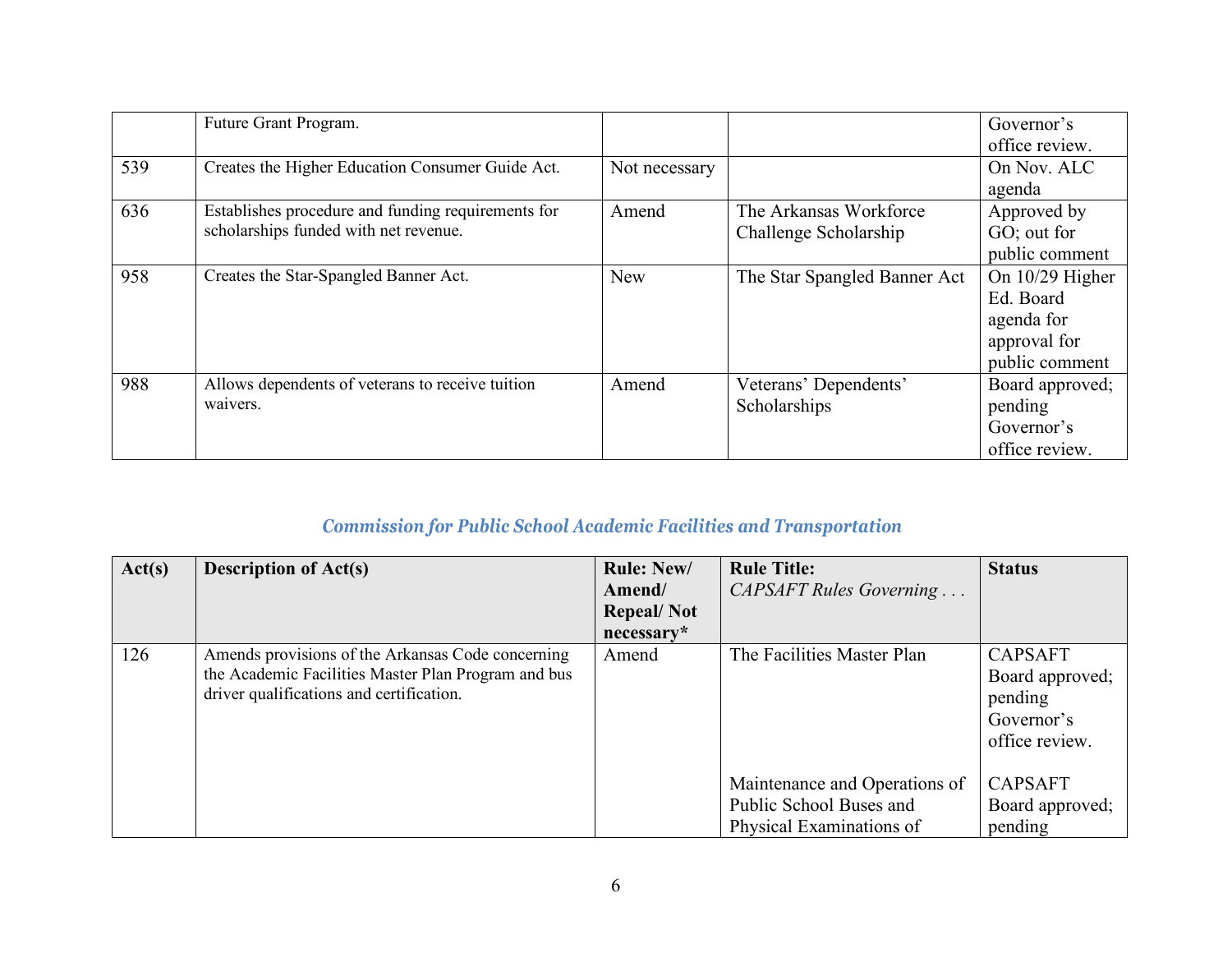|     | Future Grant Program.                              |               |                              | Governor's        |
|-----|----------------------------------------------------|---------------|------------------------------|-------------------|
|     |                                                    |               |                              | office review.    |
| 539 | Creates the Higher Education Consumer Guide Act.   | Not necessary |                              | On Nov. ALC       |
|     |                                                    |               |                              | agenda            |
| 636 | Establishes procedure and funding requirements for | Amend         | The Arkansas Workforce       | Approved by       |
|     | scholarships funded with net revenue.              |               | Challenge Scholarship        | GO; out for       |
|     |                                                    |               |                              | public comment    |
| 958 | Creates the Star-Spangled Banner Act.              | <b>New</b>    | The Star Spangled Banner Act | On $10/29$ Higher |
|     |                                                    |               |                              | Ed. Board         |
|     |                                                    |               |                              | agenda for        |
|     |                                                    |               |                              | approval for      |
|     |                                                    |               |                              | public comment    |
| 988 | Allows dependents of veterans to receive tuition   | Amend         | Veterans' Dependents'        | Board approved;   |
|     | waivers.                                           |               | Scholarships                 | pending           |
|     |                                                    |               |                              | Governor's        |
|     |                                                    |               |                              | office review.    |

# *Commission for Public School Academic Facilities and Transportation*

| Act(s) | <b>Description of Act(s)</b>                                                                                                                         | <b>Rule: New/</b> | <b>Rule Title:</b>                                                                   | <b>Status</b>                                                                |
|--------|------------------------------------------------------------------------------------------------------------------------------------------------------|-------------------|--------------------------------------------------------------------------------------|------------------------------------------------------------------------------|
|        |                                                                                                                                                      | Amend/            | CAPSAFT Rules Governing                                                              |                                                                              |
|        |                                                                                                                                                      | <b>Repeal/Not</b> |                                                                                      |                                                                              |
|        |                                                                                                                                                      | necessary*        |                                                                                      |                                                                              |
| 126    | Amends provisions of the Arkansas Code concerning<br>the Academic Facilities Master Plan Program and bus<br>driver qualifications and certification. | Amend             | The Facilities Master Plan                                                           | <b>CAPSAFT</b><br>Board approved;<br>pending<br>Governor's<br>office review. |
|        |                                                                                                                                                      |                   | Maintenance and Operations of<br>Public School Buses and<br>Physical Examinations of | <b>CAPSAFT</b><br>Board approved;<br>pending                                 |